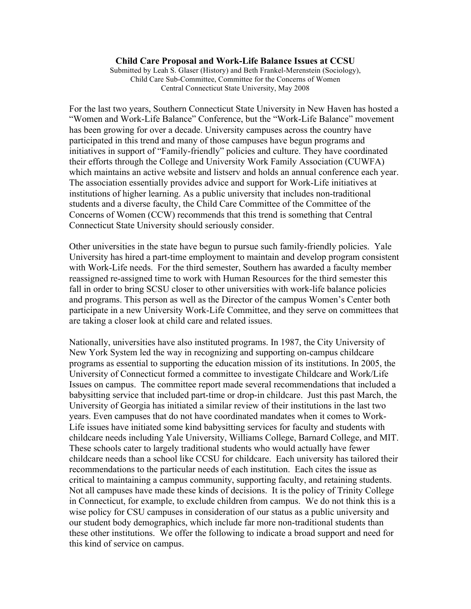#### **Child Care Proposal and Work-Life Balance Issues at CCSU**

Submitted by Leah S. Glaser (History) and Beth Frankel-Merenstein (Sociology), Child Care Sub-Committee, Committee for the Concerns of Women Central Connecticut State University, May 2008

For the last two years, Southern Connecticut State University in New Haven has hosted a "Women and Work-Life Balance" Conference, but the "Work-Life Balance" movement has been growing for over a decade. University campuses across the country have participated in this trend and many of those campuses have begun programs and initiatives in support of "Family-friendly" policies and culture. They have coordinated their efforts through the College and University Work Family Association (CUWFA) which maintains an active website and listserv and holds an annual conference each year. The association essentially provides advice and support for Work-Life initiatives at institutions of higher learning. As a public university that includes non-traditional students and a diverse faculty, the Child Care Committee of the Committee of the Concerns of Women (CCW) recommends that this trend is something that Central Connecticut State University should seriously consider.

Other universities in the state have begun to pursue such family-friendly policies. Yale University has hired a part-time employment to maintain and develop program consistent with Work-Life needs. For the third semester, Southern has awarded a faculty member reassigned re-assigned time to work with Human Resources for the third semester this fall in order to bring SCSU closer to other universities with work-life balance policies and programs. This person as well as the Director of the campus Women's Center both participate in a new University Work-Life Committee, and they serve on committees that are taking a closer look at child care and related issues.

Nationally, universities have also instituted programs. In 1987, the City University of New York System led the way in recognizing and supporting on-campus childcare programs as essential to supporting the education mission of its institutions. In 2005, the University of Connecticut formed a committee to investigate Childcare and Work/Life Issues on campus. The committee report made several recommendations that included a babysitting service that included part-time or drop-in childcare. Just this past March, the University of Georgia has initiated a similar review of their institutions in the last two years. Even campuses that do not have coordinated mandates when it comes to Work-Life issues have initiated some kind babysitting services for faculty and students with childcare needs including Yale University, Williams College, Barnard College, and MIT. These schools cater to largely traditional students who would actually have fewer childcare needs than a school like CCSU for childcare. Each university has tailored their recommendations to the particular needs of each institution. Each cites the issue as critical to maintaining a campus community, supporting faculty, and retaining students. Not all campuses have made these kinds of decisions. It is the policy of Trinity College in Connecticut, for example, to exclude children from campus. We do not think this is a wise policy for CSU campuses in consideration of our status as a public university and our student body demographics, which include far more non-traditional students than these other institutions. We offer the following to indicate a broad support and need for this kind of service on campus.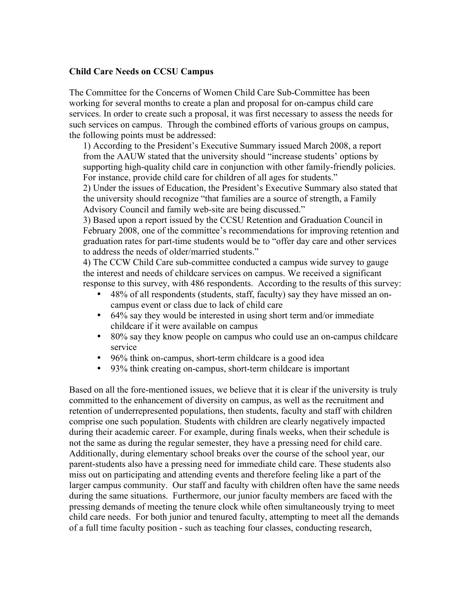### **Child Care Needs on CCSU Campus**

The Committee for the Concerns of Women Child Care Sub-Committee has been working for several months to create a plan and proposal for on-campus child care services. In order to create such a proposal, it was first necessary to assess the needs for such services on campus. Through the combined efforts of various groups on campus, the following points must be addressed:

1) According to the President's Executive Summary issued March 2008, a report from the AAUW stated that the university should "increase students' options by supporting high-quality child care in conjunction with other family-friendly policies. For instance, provide child care for children of all ages for students."

2) Under the issues of Education, the President's Executive Summary also stated that the university should recognize "that families are a source of strength, a Family Advisory Council and family web-site are being discussed."

3) Based upon a report issued by the CCSU Retention and Graduation Council in February 2008, one of the committee's recommendations for improving retention and graduation rates for part-time students would be to "offer day care and other services to address the needs of older/married students."

4) The CCW Child Care sub-committee conducted a campus wide survey to gauge the interest and needs of childcare services on campus. We received a significant response to this survey, with 486 respondents. According to the results of this survey:

- 48% of all respondents (students, staff, faculty) say they have missed an oncampus event or class due to lack of child care
- 64% say they would be interested in using short term and/or immediate childcare if it were available on campus
- 80% say they know people on campus who could use an on-campus childcare service
- 96% think on-campus, short-term childcare is a good idea
- 93% think creating on-campus, short-term childcare is important

Based on all the fore-mentioned issues, we believe that it is clear if the university is truly committed to the enhancement of diversity on campus, as well as the recruitment and retention of underrepresented populations, then students, faculty and staff with children comprise one such population. Students with children are clearly negatively impacted during their academic career. For example, during finals weeks, when their schedule is not the same as during the regular semester, they have a pressing need for child care. Additionally, during elementary school breaks over the course of the school year, our parent-students also have a pressing need for immediate child care. These students also miss out on participating and attending events and therefore feeling like a part of the larger campus community. Our staff and faculty with children often have the same needs during the same situations. Furthermore, our junior faculty members are faced with the pressing demands of meeting the tenure clock while often simultaneously trying to meet child care needs. For both junior and tenured faculty, attempting to meet all the demands of a full time faculty position - such as teaching four classes, conducting research,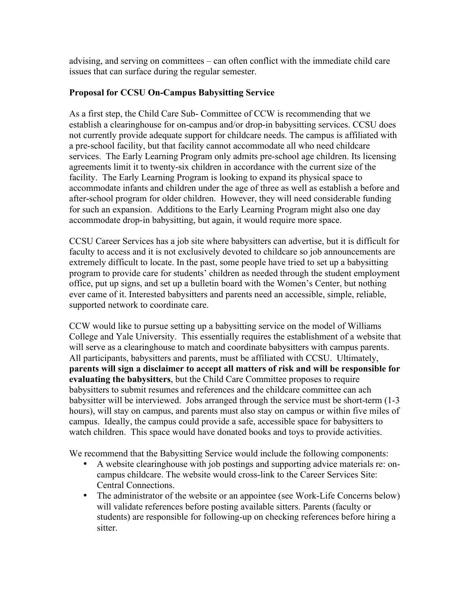advising, and serving on committees – can often conflict with the immediate child care issues that can surface during the regular semester.

## **Proposal for CCSU On-Campus Babysitting Service**

As a first step, the Child Care Sub- Committee of CCW is recommending that we establish a clearinghouse for on-campus and/or drop-in babysitting services. CCSU does not currently provide adequate support for childcare needs. The campus is affiliated with a pre-school facility, but that facility cannot accommodate all who need childcare services. The Early Learning Program only admits pre-school age children. Its licensing agreements limit it to twenty-six children in accordance with the current size of the facility. The Early Learning Program is looking to expand its physical space to accommodate infants and children under the age of three as well as establish a before and after-school program for older children. However, they will need considerable funding for such an expansion. Additions to the Early Learning Program might also one day accommodate drop-in babysitting, but again, it would require more space.

CCSU Career Services has a job site where babysitters can advertise, but it is difficult for faculty to access and it is not exclusively devoted to childcare so job announcements are extremely difficult to locate. In the past, some people have tried to set up a babysitting program to provide care for students' children as needed through the student employment office, put up signs, and set up a bulletin board with the Women's Center, but nothing ever came of it. Interested babysitters and parents need an accessible, simple, reliable, supported network to coordinate care.

CCW would like to pursue setting up a babysitting service on the model of Williams College and Yale University. This essentially requires the establishment of a website that will serve as a clearinghouse to match and coordinate babysitters with campus parents. All participants, babysitters and parents, must be affiliated with CCSU. Ultimately, **parents will sign a disclaimer to accept all matters of risk and will be responsible for evaluating the babysitters**, but the Child Care Committee proposes to require babysitters to submit resumes and references and the childcare committee can ach babysitter will be interviewed. Jobs arranged through the service must be short-term (1-3 hours), will stay on campus, and parents must also stay on campus or within five miles of campus. Ideally, the campus could provide a safe, accessible space for babysitters to watch children. This space would have donated books and toys to provide activities.

We recommend that the Babysitting Service would include the following components:

- A website clearinghouse with job postings and supporting advice materials re: oncampus childcare. The website would cross-link to the Career Services Site: Central Connections.
- The administrator of the website or an appointee (see Work-Life Concerns below) will validate references before posting available sitters. Parents (faculty or students) are responsible for following-up on checking references before hiring a sitter.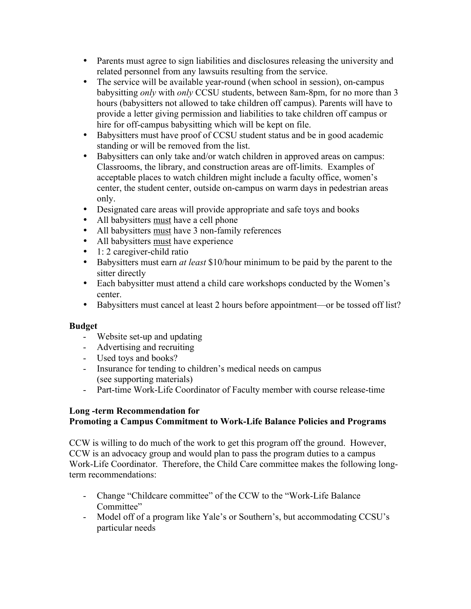- Parents must agree to sign liabilities and disclosures releasing the university and related personnel from any lawsuits resulting from the service.
- The service will be available year-round (when school in session), on-campus babysitting *only* with *only* CCSU students, between 8am-8pm, for no more than 3 hours (babysitters not allowed to take children off campus). Parents will have to provide a letter giving permission and liabilities to take children off campus or hire for off-campus babysitting which will be kept on file.
- Babysitters must have proof of CCSU student status and be in good academic standing or will be removed from the list.
- Babysitters can only take and/or watch children in approved areas on campus: Classrooms, the library, and construction areas are off-limits. Examples of acceptable places to watch children might include a faculty office, women's center, the student center, outside on-campus on warm days in pedestrian areas only.
- Designated care areas will provide appropriate and safe toys and books
- All babysitters must have a cell phone
- All babysitters must have 3 non-family references
- All babysitters must have experience
- 1: 2 caregiver-child ratio
- Babysitters must earn *at least* \$10/hour minimum to be paid by the parent to the sitter directly
- Each babysitter must attend a child care workshops conducted by the Women's center.
- Babysitters must cancel at least 2 hours before appointment—or be tossed off list?

# **Budget**

- Website set-up and updating
- Advertising and recruiting
- Used toys and books?
- Insurance for tending to children's medical needs on campus (see supporting materials)
- Part-time Work-Life Coordinator of Faculty member with course release-time

# **Long -term Recommendation for Promoting a Campus Commitment to Work-Life Balance Policies and Programs**

CCW is willing to do much of the work to get this program off the ground. However, CCW is an advocacy group and would plan to pass the program duties to a campus Work-Life Coordinator. Therefore, the Child Care committee makes the following longterm recommendations:

- Change "Childcare committee" of the CCW to the "Work-Life Balance Committee"
- Model off of a program like Yale's or Southern's, but accommodating CCSU's particular needs